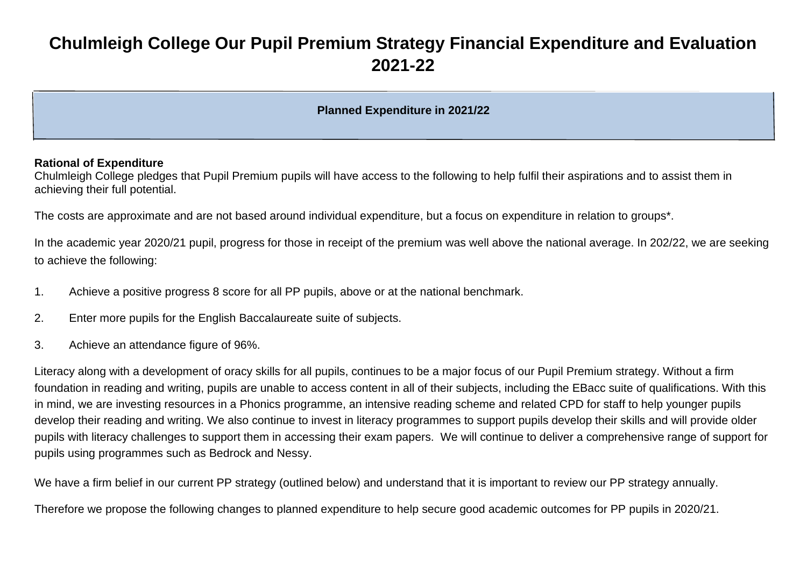# **Chulmleigh College Our Pupil Premium Strategy Financial Expenditure and Evaluation 2021-22**

# **Planned Expenditure in 2021/22**

#### **Rational of Expenditure**

Chulmleigh College pledges that Pupil Premium pupils will have access to the following to help fulfil their aspirations and to assist them in achieving their full potential.

The costs are approximate and are not based around individual expenditure, but a focus on expenditure in relation to groups\*.

In the academic year 2020/21 pupil, progress for those in receipt of the premium was well above the national average. In 202/22, we are seeking to achieve the following:

- 1. Achieve a positive progress 8 score for all PP pupils, above or at the national benchmark.
- 2. Enter more pupils for the English Baccalaureate suite of subjects.
- 3. Achieve an attendance figure of 96%.

Literacy along with a development of oracy skills for all pupils, continues to be a major focus of our Pupil Premium strategy. Without a firm foundation in reading and writing, pupils are unable to access content in all of their subjects, including the EBacc suite of qualifications. With this in mind, we are investing resources in a Phonics programme, an intensive reading scheme and related CPD for staff to help younger pupils develop their reading and writing. We also continue to invest in literacy programmes to support pupils develop their skills and will provide older pupils with literacy challenges to support them in accessing their exam papers. We will continue to deliver a comprehensive range of support for pupils using programmes such as Bedrock and Nessy.

We have a firm belief in our current PP strategy (outlined below) and understand that it is important to review our PP strategy annually.

Therefore we propose the following changes to planned expenditure to help secure good academic outcomes for PP pupils in 2020/21.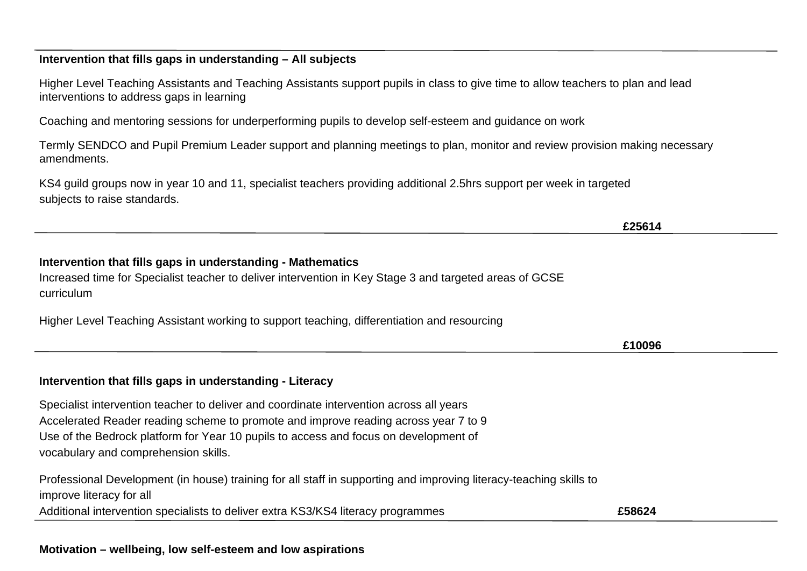**Motivation – wellbeing, low self-esteem and low aspirations**

# **Intervention that fills gaps in understanding – All subjects**

Higher Level Teaching Assistants and Teaching Assistants support pupils in class to give time to allow teachers to plan and lead interventions to address gaps in learning

Coaching and mentoring sessions for underperforming pupils to develop self-esteem and guidance on work

Termly SENDCO and Pupil Premium Leader support and planning meetings to plan, monitor and review provision making necessary amendments.

KS4 guild groups now in year 10 and 11, specialist teachers providing additional 2.5hrs support per week in targeted subjects to raise standards.

# **Intervention that fills gaps in understanding - Mathematics**

Increased time for Specialist teacher to deliver intervention in Key Stage 3 and targeted areas of GCSE curriculum

Higher Level Teaching Assistant working to support teaching, differentiation and resourcing

**Intervention that fills gaps in understanding - Literacy**

Specialist intervention teacher to deliver and coordinate intervention across all years Accelerated Reader reading scheme to promote and improve reading across year 7 to 9 Use of the Bedrock platform for Year 10 pupils to access and focus on development of vocabulary and comprehension skills.

Professional Development (in house) training for all staff in supporting and improving literacy-teaching skills to improve literacy for all Additional intervention specialists to deliver extra KS3/KS4 literacy programmes **£58624**

**£25614**

**£10096**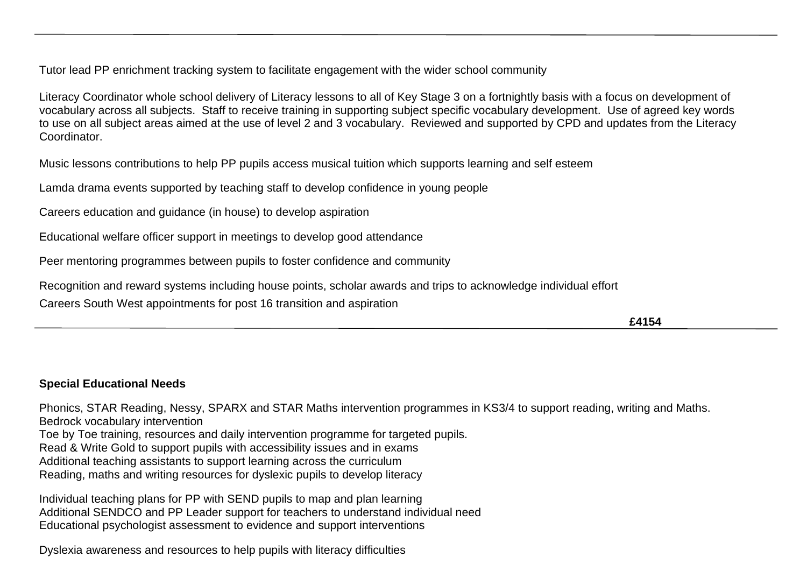Tutor lead PP enrichment tracking system to facilitate engagement with the wider school community

Literacy Coordinator whole school delivery of Literacy lessons to all of Key Stage 3 on a fortnightly basis with a focus on development of vocabulary across all subjects. Staff to receive training in supporting subject specific vocabulary development. Use of agreed key words to use on all subject areas aimed at the use of level 2 and 3 vocabulary. Reviewed and supported by CPD and updates from the Literacy Coordinator.

Music lessons contributions to help PP pupils access musical tuition which supports learning and self esteem

Lamda drama events supported by teaching staff to develop confidence in young people

Careers education and guidance (in house) to develop aspiration

Educational welfare officer support in meetings to develop good attendance

Peer mentoring programmes between pupils to foster confidence and community

Recognition and reward systems including house points, scholar awards and trips to acknowledge individual effort

Careers South West appointments for post 16 transition and aspiration

**£4154**

# **Special Educational Needs**

Phonics, STAR Reading, Nessy, SPARX and STAR Maths intervention programmes in KS3/4 to support reading, writing and Maths. Bedrock vocabulary intervention Toe by Toe training, resources and daily intervention programme for targeted pupils. Read & Write Gold to support pupils with accessibility issues and in exams Additional teaching assistants to support learning across the curriculum Reading, maths and writing resources for dyslexic pupils to develop literacy

Individual teaching plans for PP with SEND pupils to map and plan learning Additional SENDCO and PP Leader support for teachers to understand individual need Educational psychologist assessment to evidence and support interventions

Dyslexia awareness and resources to help pupils with literacy difficulties